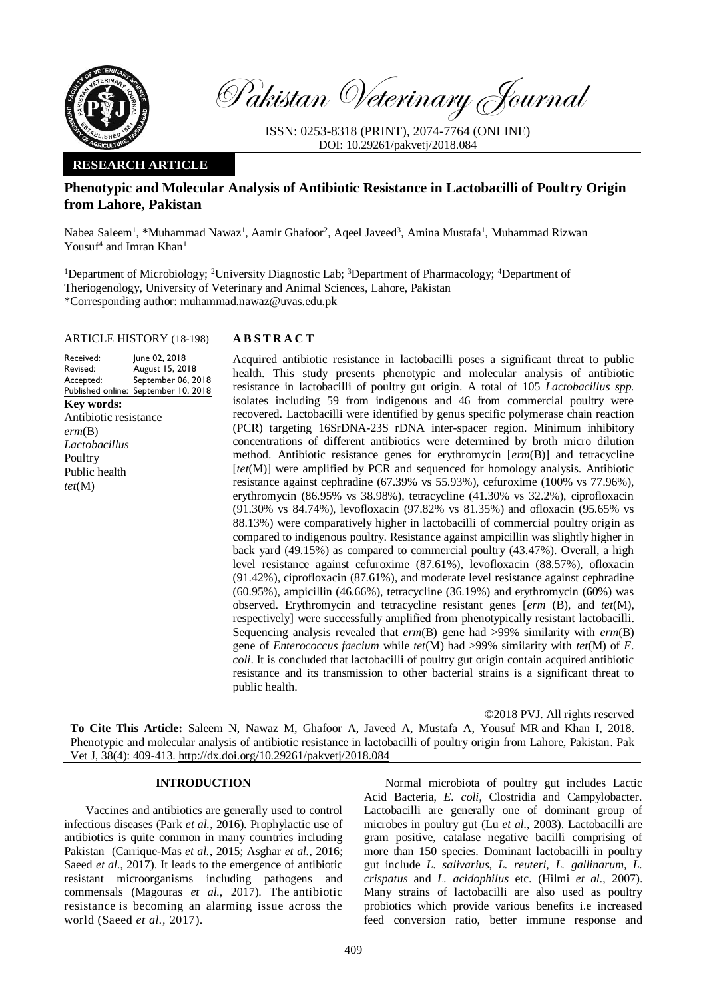

Pakistan Veterinary Journal

ISSN: 0253-8318 (PRINT), 2074-7764 (ONLINE) DOI: 10.29261/pakvetj/2018.084

## **RESEARCH ARTICLE**

# **Phenotypic and Molecular Analysis of Antibiotic Resistance in Lactobacilli of Poultry Origin from Lahore, Pakistan**

Nabea Saleem<sup>1</sup>, \*Muhammad Nawaz<sup>1</sup>, Aamir Ghafoor<sup>2</sup>, Aqeel Javeed<sup>3</sup>, Amina Mustafa<sup>1</sup>, Muhammad Rizwan Yousuf<sup>4</sup> and Imran Khan<sup>1</sup>

<sup>1</sup>Department of Microbiology; <sup>2</sup>University Diagnostic Lab; <sup>3</sup>Department of Pharmacology; <sup>4</sup>Department of Theriogenology, University of Veterinary and Animal Sciences, Lahore, Pakistan \*Corresponding author: muhammad.nawaz@uvas.edu.pk

#### ARTICLE HISTORY (18-198) **A B S T R A C T**

Received: Revised: Accepted: Published online: June 02, 2018 August 15, 2018 September 06, 2018 September 10, 2018 **Key words:**  Antibiotic resistance *erm*(B) *Lactobacillus* Poultry Public health *tet*(M)

Acquired antibiotic resistance in lactobacilli poses a significant threat to public health. This study presents phenotypic and molecular analysis of antibiotic resistance in lactobacilli of poultry gut origin. A total of 105 *Lactobacillus spp.* isolates including 59 from indigenous and 46 from commercial poultry were recovered. Lactobacilli were identified by genus specific polymerase chain reaction (PCR) targeting 16SrDNA-23S rDNA inter-spacer region. Minimum inhibitory concentrations of different antibiotics were determined by broth micro dilution method. Antibiotic resistance genes for erythromycin [*erm*(B)] and tetracycline [tet(M)] were amplified by PCR and sequenced for homology analysis. Antibiotic resistance against cephradine (67.39% vs 55.93%), cefuroxime (100% vs 77.96%), erythromycin (86.95% vs 38.98%), tetracycline (41.30% vs 32.2%), ciprofloxacin (91.30% vs 84.74%), levofloxacin (97.82% vs 81.35%) and ofloxacin (95.65% vs 88.13%) were comparatively higher in lactobacilli of commercial poultry origin as compared to indigenous poultry. Resistance against ampicillin was slightly higher in back yard (49.15%) as compared to commercial poultry (43.47%). Overall, a high level resistance against cefuroxime (87.61%), levofloxacin (88.57%), ofloxacin (91.42%), ciprofloxacin (87.61%), and moderate level resistance against cephradine (60.95%), ampicillin (46.66%), tetracycline (36.19%) and erythromycin (60%) was observed. Erythromycin and tetracycline resistant genes [*erm* (B), and *tet*(M), respectively] were successfully amplified from phenotypically resistant lactobacilli. Sequencing analysis revealed that *erm*(B) gene had >99% similarity with *erm*(B) gene of *Enterococcus faecium* while *tet*(M) had >99% similarity with *tet*(M) of *E. coli*. It is concluded that lactobacilli of poultry gut origin contain acquired antibiotic resistance and its transmission to other bacterial strains is a significant threat to public health.

©2018 PVJ. All rights reserved

**To Cite This Article:** Saleem N, Nawaz M, Ghafoor A, Javeed A, Mustafa A, Yousuf MR and Khan I, 2018. Phenotypic and molecular analysis of antibiotic resistance in lactobacilli of poultry origin from Lahore, Pakistan. Pak Vet J, 38(4): 409-413[. http://dx.doi.org/10.29261/pakvetj/2018.084](http://pvj.com.pk/pdf-files/38_4/409-413.pdf) 

#### **INTRODUCTION**

Vaccines and antibiotics are generally used to control infectious diseases (Park *et al.*[, 2016\)](#page-4-0). Prophylactic use of antibiotics is quite common in many countries including Pakistan [\(Carrique-Mas](#page-4-1) *et al.*, 2015; [Asghar](#page-4-2) *et al.*, 2016; Saeed *et al*[., 2017\)](#page-4-3). It leads to the emergence of antibiotic resistant microorganisms including pathogens and commensals [\(Magouras](#page-4-4) *et al.*, 2017). The [antibiotic](http://www.scialert.net/asci/result.php?searchin=Keywords&cat=&ascicat=ALL&Submit=Search&keyword=antibiotic+resistance) [resistance](http://www.scialert.net/asci/result.php?searchin=Keywords&cat=&ascicat=ALL&Submit=Search&keyword=antibiotic+resistance) is becoming an alarming issue across the world [\(Saeed](#page-4-3) *et al.,* 2017).

Normal microbiota of poultry gut includes Lactic Acid Bacteria, *E. coli*, Clostridia and Campylobacter. Lactobacilli are generally one of dominant group of microbes in poultry gut (Lu *et al.*[, 2003\)](#page-4-5). Lactobacilli are gram positive, catalase negative bacilli comprising of more than 150 species. Dominant lactobacilli in poultry gut include *L. salivarius, L. reuteri, L. gallinarum, L. crispatus* and *L. acidophilus* etc. (Hilmi *et al.*[, 2007\)](#page-4-6). Many strains of lactobacilli are also used as poultry probiotics which provide various benefits i.e increased feed conversion ratio, better immune response and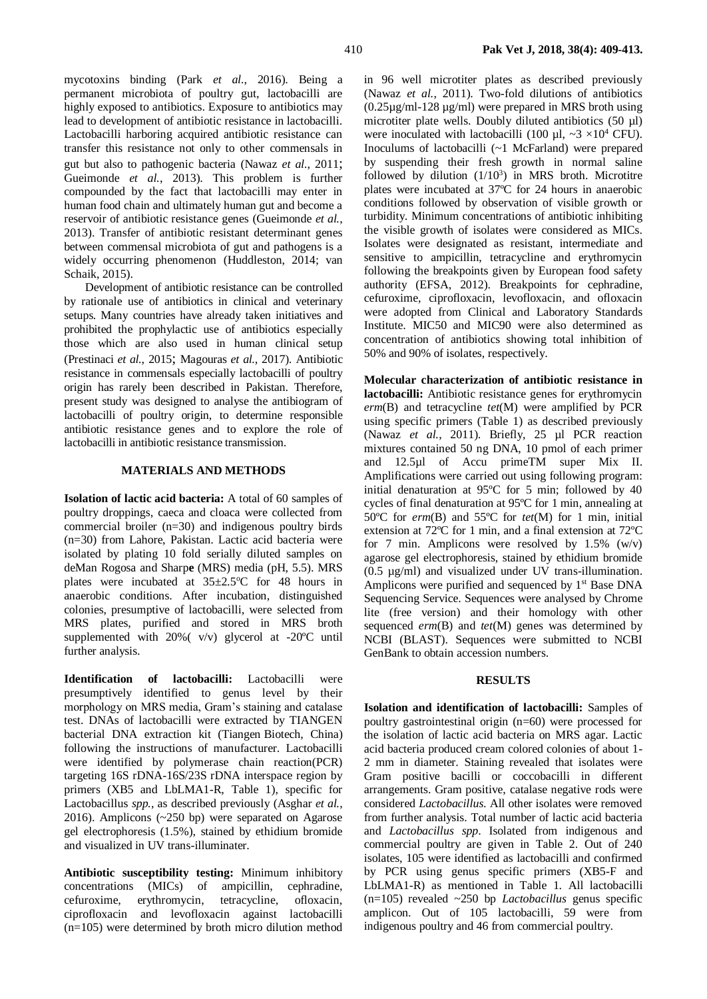mycotoxins binding (Park *et al.*[, 2016\)](#page-4-0). Being a permanent microbiota of poultry gut, lactobacilli are highly exposed to antibiotics. Exposure to antibiotics may lead to development of antibiotic resistance in lactobacilli. Lactobacilli harboring acquired antibiotic resistance can transfer this resistance not only to other commensals in gut but also to pathogenic bacteria [\(Nawaz](#page-4-7) *et al.*, 2011; [Gueimonde](#page-4-8) *et al.*, 2013). This problem is further compounded by the fact that lactobacilli may enter in human food chain and ultimately human gut and become a reservoir of antibiotic resistance genes [\(Gueimonde](#page-4-8) *et al.*, [2013\)](#page-4-8). Transfer of antibiotic resistant determinant genes between commensal microbiota of gut and pathogens is a widely occurring phenomenon [\(Huddleston, 2014;](#page-4-9) [van](#page-4-10)  [Schaik, 2015\)](#page-4-10).

Development of antibiotic resistance can be controlled by rationale use of antibiotics in clinical and veterinary setups. Many countries have already taken initiatives and prohibited the prophylactic use of antibiotics especially those which are also used in human clinical setup [\(Prestinaci](#page-4-11) *et al.*, 2015; [Magouras](#page-4-4) *et al.*, 2017). Antibiotic resistance in commensals especially lactobacilli of poultry origin has rarely been described in Pakistan. Therefore, present study was designed to analyse the antibiogram of lactobacilli of poultry origin, to determine responsible antibiotic resistance genes and to explore the role of lactobacilli in antibiotic resistance transmission.

## **MATERIALS AND METHODS**

**Isolation of lactic acid bacteria:** A total of 60 samples of poultry droppings, caeca and cloaca were collected from commercial broiler (n=30) and indigenous poultry birds (n=30) from Lahore, Pakistan. Lactic acid bacteria were isolated by plating 10 fold serially diluted samples on deMan Rogosa and Sharp**e** (MRS) media (pH, 5.5). MRS plates were incubated at  $35\pm2.5^{\circ}$ C for 48 hours in anaerobic conditions. After incubation, distinguished colonies, presumptive of lactobacilli, were selected from MRS plates, purified and stored in MRS broth supplemented with 20%( v/v) glycerol at -20ºC until further analysis.

**Identification of lactobacilli:** Lactobacilli were presumptively identified to genus level by their morphology on MRS media, Gram's staining and catalase test. DNAs of lactobacilli were extracted by TIANGEN bacterial DNA extraction kit (Tiangen Biotech, China) following the instructions of manufacturer. Lactobacilli were identified by polymerase chain reaction(PCR) targeting 16S rDNA-16S/23S rDNA interspace region by primers (XB5 and LbLMA1-R, Table 1), specific for Lactobacillus *spp.*, as described previously [\(Asghar](#page-4-2) *et al.*, [2016\)](#page-4-2). Amplicons (~250 bp) were separated on Agarose gel electrophoresis (1.5%), stained by ethidium bromide and visualized in UV trans-illuminater.

**Antibiotic susceptibility testing:** Minimum inhibitory concentrations (MICs) of ampicillin, cephradine, cefuroxime, erythromycin, tetracycline, ofloxacin, ciprofloxacin and levofloxacin against lactobacilli (n=105) were determined by broth micro dilution method

in 96 well microtiter plates as described previously [\(Nawaz](#page-4-7) *et al.*, 2011). Two-fold dilutions of antibiotics (0.25µg/ml-128 µg/ml) were prepared in MRS broth using microtiter plate wells. Doubly diluted antibiotics (50 µl) were inoculated with lactobacilli (100  $\mu$ l, ~3 ×10<sup>4</sup> CFU). Inoculums of lactobacilli (~1 McFarland) were prepared by suspending their fresh growth in normal saline followed by dilution  $(1/10^3)$  in MRS broth. Microtitre plates were incubated at 37ºC for 24 hours in anaerobic conditions followed by observation of visible growth or turbidity. Minimum concentrations of antibiotic inhibiting the visible growth of isolates were considered as MICs. Isolates were designated as resistant, intermediate and sensitive to ampicillin, tetracycline and erythromycin following the breakpoints given by European food safety authority (EFSA, 2012). Breakpoints for cephradine, cefuroxime, ciprofloxacin, levofloxacin, and ofloxacin were adopted from Clinical and Laboratory Standards Institute. MIC50 and MIC90 were also determined as concentration of antibiotics showing total inhibition of 50% and 90% of isolates, respectively.

**Molecular characterization of antibiotic resistance in lactobacilli:** Antibiotic resistance genes for erythromycin *erm*(B) and tetracycline *tet*(M) were amplified by PCR using specific primers (Table 1) as described previously (Nawaz *et al.*[, 2011\)](#page-4-7). Briefly, 25 µl PCR reaction mixtures contained 50 ng DNA, 10 pmol of each primer and 12.5µl of Accu primeTM super Mix II. Amplifications were carried out using following program: initial denaturation at 95ºC for 5 min; followed by 40 cycles of final denaturation at 95ºC for 1 min, annealing at 50ºC for *erm*(B) and 55ºC for *tet*(M) for 1 min, initial extension at 72ºC for 1 min, and a final extension at 72ºC for 7 min. Amplicons were resolved by  $1.5\%$  (w/v) agarose gel electrophoresis, stained by ethidium bromide (0.5 µg/ml) and visualized under UV trans-illumination. Amplicons were purified and sequenced by  $1<sup>st</sup>$  Base DNA Sequencing Service. Sequences were analysed by Chrome lite (free version) and their homology with other sequenced *erm*(B) and *tet*(M) genes was determined by NCBI (BLAST). Sequences were submitted to NCBI GenBank to obtain accession numbers.

### **RESULTS**

**Isolation and identification of lactobacilli:** Samples of poultry gastrointestinal origin (n=60) were processed for the isolation of lactic acid bacteria on MRS agar. Lactic acid bacteria produced cream colored colonies of about 1- 2 mm in diameter. Staining revealed that isolates were Gram positive bacilli or coccobacilli in different arrangements. Gram positive, catalase negative rods were considered *Lactobacillus*. All other isolates were removed from further analysis. Total number of lactic acid bacteria and *Lactobacillus spp*. Isolated from indigenous and commercial poultry are given in Table 2. Out of 240 isolates, 105 were identified as lactobacilli and confirmed by PCR using genus specific primers (XB5-F and LbLMA1-R) as mentioned in Table 1. All lactobacilli (n=105) revealed ~250 bp *Lactobacillus* genus specific amplicon. Out of 105 lactobacilli, 59 were from indigenous poultry and 46 from commercial poultry.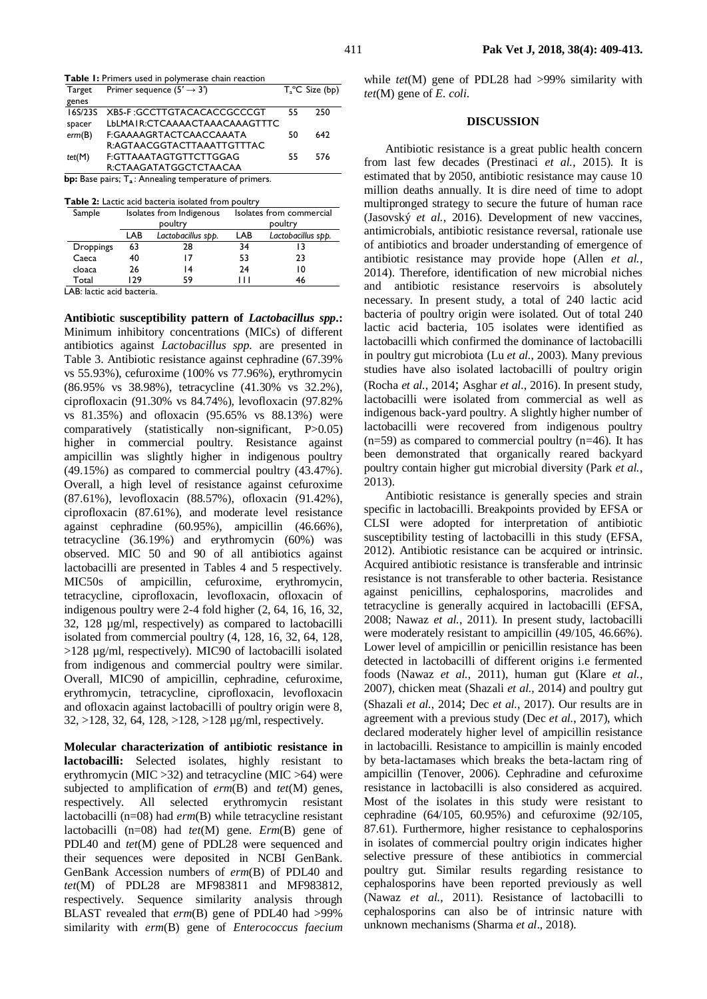| Target  | Primer sequence $(5' \rightarrow 3')$                            |    | $T_a^{\circ}$ C Size (bp) |
|---------|------------------------------------------------------------------|----|---------------------------|
| genes   |                                                                  |    |                           |
| 16S/23S | XB5-F:GCCTTGTACACACCGCCCGT                                       | 55 | 250                       |
| spacer  | LbLMAIR:CTCAAAACTAAACAAAGTTTC                                    |    |                           |
| erm(B)  | F:GAAAAGRTACTCAACCAAATA                                          | 50 | 642                       |
|         | R:AGTAACGGTACTTAAATTGTTTAC                                       |    |                           |
| tet(M)  | F:GTTAAATAGTGTTCTTGGAG                                           | 55 | 576                       |
|         | R:CTAAGATATGGCTCTAACAA                                           |    |                           |
|         | <b>bp:</b> Base pairs; $T_a$ : Annealing temperature of primers. |    |                           |

**Table 2:** Lactic acid bacteria isolated from poultry

| <b>Table 2.</b> Lattic and batteria isolated if only bound <b>i</b> |     |                          |                          |                    |  |  |  |  |
|---------------------------------------------------------------------|-----|--------------------------|--------------------------|--------------------|--|--|--|--|
| Sample                                                              |     | Isolates from Indigenous | Isolates from commercial |                    |  |  |  |  |
|                                                                     |     | poultry                  | poultry                  |                    |  |  |  |  |
|                                                                     | LAB | Lactobacillus spp.       | LAB                      | Lactobacillus spp. |  |  |  |  |
| <b>Droppings</b>                                                    | 63  | 28                       | 34                       | 13                 |  |  |  |  |
| Caeca                                                               | 40  |                          | 53                       | 23                 |  |  |  |  |
| cloaca                                                              | 26  | 14                       | 24                       | 10                 |  |  |  |  |
| Total                                                               | 179 | 59                       | $\perp$                  | 46                 |  |  |  |  |

LAB: lactic acid bacteria.

**Antibiotic susceptibility pattern of** *Lactobacillus spp***.:** Minimum inhibitory concentrations (MICs) of different antibiotics against *Lactobacillus spp.* are presented in Table 3. Antibiotic resistance against cephradine (67.39% vs 55.93%), cefuroxime (100% vs 77.96%), erythromycin (86.95% vs 38.98%), tetracycline (41.30% vs 32.2%), ciprofloxacin (91.30% vs 84.74%), levofloxacin (97.82% vs 81.35%) and ofloxacin (95.65% vs 88.13%) were comparatively (statistically non-significant, P>0.05) higher in commercial poultry. Resistance against ampicillin was slightly higher in indigenous poultry (49.15%) as compared to commercial poultry (43.47%). Overall, a high level of resistance against cefuroxime (87.61%), levofloxacin (88.57%), ofloxacin (91.42%), ciprofloxacin (87.61%), and moderate level resistance against cephradine (60.95%), ampicillin (46.66%), tetracycline (36.19%) and erythromycin (60%) was observed. MIC 50 and 90 of all antibiotics against lactobacilli are presented in Tables 4 and 5 respectively. MIC50s of ampicillin, cefuroxime, erythromycin, tetracycline, ciprofloxacin, levofloxacin, ofloxacin of indigenous poultry were 2-4 fold higher (2, 64, 16, 16, 32, 32, 128 µg/ml, respectively) as compared to lactobacilli isolated from commercial poultry (4, 128, 16, 32, 64, 128, >128 µg/ml, respectively). MIC90 of lactobacilli isolated from indigenous and commercial poultry were similar. Overall, MIC90 of ampicillin, cephradine, cefuroxime, erythromycin, tetracycline, ciprofloxacin, levofloxacin and ofloxacin against lactobacilli of poultry origin were 8, 32, >128, 32, 64, 128, >128, >128 µg/ml, respectively.

**Molecular characterization of antibiotic resistance in lactobacilli:** Selected isolates, highly resistant to erythromycin (MIC >32) and tetracycline (MIC >64) were subjected to amplification of *erm*(B) and *tet*(M) genes, respectively. All selected erythromycin resistant lactobacilli (n=08) had *erm*(B) while tetracycline resistant lactobacilli (n=08) had *tet*(M) gene. *Erm*(B) gene of PDL40 and *tet*(M) gene of PDL28 were sequenced and their sequences were deposited in NCBI GenBank. GenBank Accession numbers of *erm*(B) of PDL40 and *tet*(M) of PDL28 are MF983811 and MF983812, respectively. Sequence similarity analysis through BLAST revealed that *erm*(B) gene of PDL40 had >99% similarity with *erm*(B) gene of *Enterococcus faecium*

while *tet*(M) gene of PDL28 had >99% similarity with *tet*(M) gene of *E. coli*.

#### **DISCUSSION**

Antibiotic resistance is a great public health concern from last few decades [\(Prestinaci](#page-4-11) *et al.*, 2015). It is estimated that by 2050, antibiotic resistance may cause 10 million deaths annually. It is dire need of time to adopt multipronged strategy to secure the future of human race [\(Jasovský](#page-4-12) *et al.*, 2016). Development of new vaccines, antimicrobials, antibiotic resistance reversal, rationale use of antibiotics and broader understanding of emergence of antibiotic resistance may provide hope [\(Allen](#page-4-13) *et al.*, [2014\)](#page-4-13). Therefore, identification of new microbial niches and antibiotic resistance reservoirs is absolutely necessary. In present study, a total of 240 lactic acid bacteria of poultry origin were isolated. Out of total 240 lactic acid bacteria, 105 isolates were identified as lactobacilli which confirmed the dominance of lactobacilli in poultry gut microbiota (Lu *et al.*[, 2003\)](#page-4-5). Many previous studies have also isolated lactobacilli of poultry origin [\(Rocha](#page-4-14) *et al.*, 2014; [Asghar](#page-4-2) *et al.*, 2016). In present study, lactobacilli were isolated from commercial as well as indigenous back-yard poultry. A slightly higher number of lactobacilli were recovered from indigenous poultry  $(n=59)$  as compared to commercial poultry  $(n=46)$ . It has been demonstrated that organically reared backyard poultry contain higher gut microbial diversity [\(Park](#page-4-15) *et al.*, [2013\)](#page-4-15).

Antibiotic resistance is generally species and strain specific in lactobacilli. Breakpoints provided by EFSA or CLSI were adopted for interpretation of antibiotic susceptibility testing of lactobacilli in this study (EFSA, 2012). Antibiotic resistance can be acquired or intrinsic. Acquired antibiotic resistance is transferable and intrinsic resistance is not transferable to other bacteria. Resistance against penicillins, cephalosporins, macrolides and tetracycline is generally acquired in lactobacilli [\(EFSA,](#page-4-16)  [2008;](#page-4-16) [Nawaz](#page-4-7) *et al.*, 2011). In present study, lactobacilli were moderately resistant to ampicillin (49/105, 46.66%). Lower level of ampicillin or penicillin resistance has been detected in lactobacilli of different origins i.e fermented foods [\(Nawaz](#page-4-7) *et al.*, 2011), human gut [\(Klare](#page-4-17) *et al.*, [2007\)](#page-4-17), chicken meat [\(Shazali](#page-4-18) *et al.*, 2014) and poultry gut [\(Shazali](#page-4-18) *et al.*, 2014; Dec *et al.*[, 2017\)](#page-4-19). Our results are in agreement with a previous study (Dec *et al.*[, 2017\)](#page-4-19), which declared moderately higher level of ampicillin resistance in lactobacilli. Resistance to ampicillin is mainly encoded by beta-lactamases which breaks the beta-lactam ring of ampicillin [\(Tenover, 2006\)](#page-4-20). Cephradine and cefuroxime resistance in lactobacilli is also considered as acquired. Most of the isolates in this study were resistant to cephradine (64/105, 60.95%) and cefuroxime (92/105, 87.61). Furthermore, higher resistance to cephalosporins in isolates of commercial poultry origin indicates higher selective pressure of these antibiotics in commercial poultry gut. Similar results regarding resistance to cephalosporins have been reported previously as well (Nawaz *et al.*[, 2011\)](#page-4-7). Resistance of lactobacilli to cephalosporins can also be of intrinsic nature with unknown mechanisms (Sharma *et al*., 2018).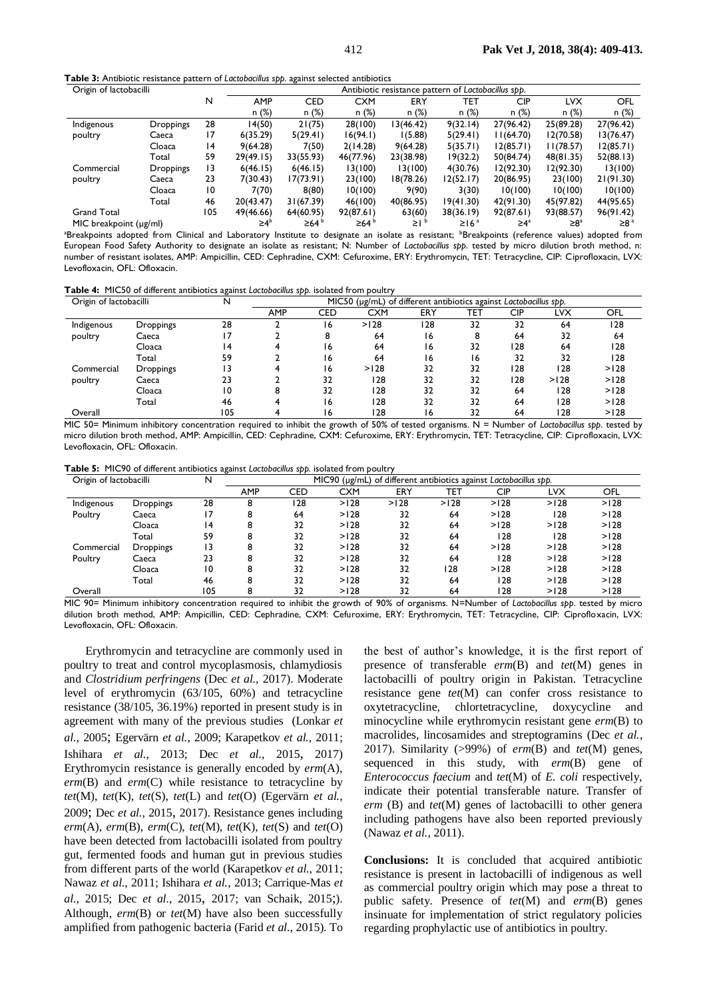**Table 3:** Antibiotic resistance pattern of *Lactobacillus spp*. against selected antibiotics

| Origin of lactobacilli      |                  |     | Antibiotic resistance pattern of Lactobacillus spp. |                  |                  |                  |                        |            |                       |            |
|-----------------------------|------------------|-----|-----------------------------------------------------|------------------|------------------|------------------|------------------------|------------|-----------------------|------------|
|                             |                  | N   | <b>AMP</b>                                          | <b>CED</b>       | <b>CXM</b>       | ERY              | TET                    | <b>CIP</b> | LVX                   | OFL        |
|                             |                  |     | n (%)                                               | n(%)             | n(%)             | n(%)             | n(%)                   | n(%)       | n(%)                  | n (%)      |
| Indigenous                  | <b>Droppings</b> | 28  | 14(50)                                              | 21(75)           | 28(100)          | 3(46.42)         | 9(32.14)               | 27(96.42)  | 25(89.28)             | 27(96.42)  |
| poultry                     | Caeca            | 17  | 6(35.29)                                            | 5(29.41)         | 16(94.1)         | 1(5.88)          | 5(29.41)               | 11(64.70)  | 12(70.58)             | 13(76.47)  |
|                             | Cloaca           | 4   | 9(64.28)                                            | 7(50)            | 2(14.28)         | 9(64.28)         | 5(35.71)               | 12(85.71)  | 1(78.57)              | 12(85.71)  |
|                             | Total            | 59  | 29(49.15)                                           | 33(55.93)        | 46(77.96)        | 23(38.98)        | 19(32.2)               | 50(84.74)  | 48(81.35)             | 52(88.13)  |
| Commercial                  | <b>Droppings</b> | 13  | 6(46.15)                                            | 6(46.15)         | 13(100)          | 13(100)          | 4(30.76)               | 12(92.30)  | 12(92.30)             | 13(100)    |
| poultry                     | Caeca            | 23  | 7(30.43)                                            | 17(73.91)        | 23(100)          | 18(78.26)        | 12(52.17)              | 20(86.95)  | 23(100)               | 21(91.30)  |
|                             | Cloaca           | 10  | 7(70)                                               | 8(80)            | 10(100)          | 9(90)            | 3(30)                  | 10(100)    | 10(100)               | 10(100)    |
|                             | Total            | 46  | 20(43.47)                                           | 31(67.39)        | 46(100)          | 40(86.95)        | 19(41.30)              | 42(91.30)  | 45(97.82)             | 44(95.65)  |
| <b>Grand Total</b>          |                  | 105 | 49(46.66)                                           | 64(60.95)        | 92(87.61)        | 63(60)           | 38(36.19)              | 92(87.61)  | 93(88.57)             | 96(91.42)  |
| MIC breakpoint $(\mu g/ml)$ |                  |     | ≥4 <sup>b</sup>                                     | ≥64 <sup>b</sup> | ≥64 <sup>b</sup> | $\geq$   $\circ$ | $\geq$ 16 <sup>a</sup> | $\geq 4^a$ | $\geq 8^{\mathrm{a}}$ | $\geq 8^a$ |

<sup>a</sup>Breakpoints adopted from Clinical and Laboratory Institute to designate an isolate as resistant; <sup>b</sup>Breakpoints (reference values) adopted from European Food Safety Authority to designate an isolate as resistant; N: Number of *Lactobacillus spp*. tested by micro dilution broth method, n: number of resistant isolates, AMP: Ampicillin, CED: Cephradine, CXM: Cefuroxime, ERY: Erythromycin, TET: Tetracycline, CIP: Ciprofloxacin, LVX: Levofloxacin, OFL: Ofloxacin.

**Table 4:** MIC50 of different antibiotics against *Lactobacillus spp.* isolated from poultry

| Origin of lactobacilli |                  | N   | . .<br>MIC50 (µg/mL) of different antibiotics against Lactobacillus spp. |            |            |     |     |     |            |      |  |
|------------------------|------------------|-----|--------------------------------------------------------------------------|------------|------------|-----|-----|-----|------------|------|--|
|                        |                  |     | <b>AMP</b>                                                               | <b>CED</b> | <b>CXM</b> | ERY | TET | CIP | <b>LVX</b> | OFL  |  |
| Indigenous             | Droppings        | 28  |                                                                          | 16         | >128       | 128 | 32  | 32  | 64         | 128  |  |
| poultry                | Caeca            |     |                                                                          |            | 64         | 16  | 8   | 64  | 32         | 64   |  |
|                        | Cloaca           | ۱4  |                                                                          | 16         | 64         | 16  | 32  | 128 | 64         | 128  |  |
|                        | Total            | 59  |                                                                          | 16         | 64         | 16  | 16  | 32  | 32         | 128  |  |
| Commercial             | <b>Droppings</b> | 13  |                                                                          | 16         | >128       | 32  | 32  | 128 | 128        | >128 |  |
| poultry                | Caeca            | 23  |                                                                          | 32         | 128        | 32  | 32  | 128 | >128       | >128 |  |
|                        | Cloaca           | 10  | 8                                                                        | 32         | 128        | 32  | 32  | 64  | 128        | >128 |  |
|                        | Total            | -46 |                                                                          | 16         | 128        | 32  | 32  | 64  | 128        | >128 |  |
| 105<br>Overall         |                  |     |                                                                          | ۱6         | 128        | 16  | 32  | 64  | 128        | >128 |  |

MIC 50= Minimum inhibitory concentration required to inhibit the growth of 50% of tested organisms. N = Number of *Lactobacillus spp*. tested by micro dilution broth method, AMP: Ampicillin, CED: Cephradine, CXM: Cefuroxime, ERY: Erythromycin, TET: Tetracycline, CIP: Ciprofloxacin, LVX: Levofloxacin, OFL: Ofloxacin.

**Table 5:** MIC90 of different antibiotics against *Lactobacillus spp.* isolated from poultry

| Origin of lactobacilli<br>N |           |                 | MIC90 (µg/mL) of different antibiotics against Lactobacillus spp. |     |            |      |      |            |      |      |  |
|-----------------------------|-----------|-----------------|-------------------------------------------------------------------|-----|------------|------|------|------------|------|------|--|
|                             |           |                 | <b>AMP</b>                                                        | CED | <b>CXM</b> | ERY  | TET  | <b>CIP</b> | LVX  | OFL  |  |
| Indigenous                  | Droppings | 28              | 8                                                                 | 28  | >128       | >128 | >128 | >128       | >128 | >128 |  |
| Poultry                     | Caeca     | 17              | 8                                                                 | 64  | >128       | 32   | 64   | >128       | 128  | >128 |  |
|                             | Cloaca    | $\overline{14}$ | 8                                                                 | 32  | >128       | 32   | 64   | >128       | >128 | >128 |  |
|                             | Total     | 59              | 8                                                                 | 32  | >128       | 32   | 64   | 128        | 128  | >128 |  |
| Commercial                  | Droppings | ۱3              | 8                                                                 | 32  | >128       | 32   | 64   | >128       | >128 | >128 |  |
| Poultry                     | Caeca     | 23              | 8                                                                 | 32  | >128       | 32   | 64   | 128        | >128 | >128 |  |
|                             | Cloaca    | 10              | 8                                                                 | 32  | >128       | 32   | 128  | >128       | >128 | >128 |  |
|                             | Total     | 46              | 8                                                                 | 32  | >128       | 32   | 64   | 128        | >128 | >128 |  |
| Overall                     |           | 105             | 8                                                                 | 32  | >128       | 32   | 64   | 128        | >128 | >128 |  |

MIC 90= Minimum inhibitory concentration required to inhibit the growth of 90% of organisms. N=Number of *Lactobacillus spp*. tested by micro dilution broth method, AMP: Ampicillin, CED: Cephradine, CXM: Cefuroxime, ERY: Erythromycin, TET: Tetracycline, CIP: Ciprofloxacin, LVX: Levofloxacin, OFL: Ofloxacin.

Erythromycin and tetracycline are commonly used in poultry to treat and control mycoplasmosis, chlamydiosis and *Clostridium perfringens* (Dec *et al.*[, 2017\)](#page-4-19). Moderate level of erythromycin (63/105, 60%) and tetracycline resistance (38/105, 36.19%) reported in present study is in agreement with many of the previous studies [\(Lonkar](#page-4-21) *et al.*[, 2005](#page-4-21); [Egervärn](#page-4-22) *et al.*, 2009; [Karapetkov](#page-4-23) *et al.*, 2011; Ishihara *et al.*[, 2013;](#page-4-24) Dec *et al.*[, 2015](#page-4-25), 2017) Erythromycin resistance is generally encoded by *erm*(A), *erm*(B) and *erm*(C) while resistance to tetracycline by *tet*(M), *tet*(K), *tet*(S), *tet*(L) and *tet*(O) [\(Egervärn](#page-4-22) *et al.*, [2009](#page-4-22); Dec *et al.*[, 2015](#page-4-25), 2017). Resistance genes including *erm*(A), *erm*(B), *erm*(C), *tet*(M), *tet*(K), *tet*(S) and *tet*(O) have been detected from lactobacilli isolated from poultry gut, fermented foods and human gut in previous studies from different parts of the world [\(Karapetkov](#page-4-23) *et al.*, 2011; Nawaz *et al.*[, 2011;](#page-4-7) [Ishihara](#page-4-24) *et al.*, 2013; [Carrique-Mas](#page-4-1) *et al.*[, 2015;](#page-4-1) Dec *et al.*[, 2015](#page-4-25), 2017; [van Schaik, 2015](#page-4-10);). Although, *erm*(B) or *tet*(M) have also been successfully amplified from pathogenic bacteria (Farid *et al.*[, 2015\)](#page-4-26). To

the best of author's knowledge, it is the first report of presence of transferable *erm*(B) and *tet*(M) genes in lactobacilli of poultry origin in Pakistan. Tetracycline resistance gene *tet*(M) can confer cross resistance to oxytetracycline, chlortetracycline, doxycycline and minocycline while erythromycin resistant gene *erm*(B) to macrolides, lincosamides and streptogramins (Dec *[et al.](#page-4-19)*, [2017\)](#page-4-19). Similarity (>99%) of *erm*(B) and *tet*(M) genes, sequenced in this study, with *erm*(B) gene of *Enterococcus faecium* and *tet*(M) of *E. coli* respectively, indicate their potential transferable nature. Transfer of *erm* (B) and *tet*(M) genes of lactobacilli to other genera including pathogens have also been reported previously [\(Nawaz](#page-4-7) *et al.*, 2011).

**Conclusions:** It is concluded that acquired antibiotic resistance is present in lactobacilli of indigenous as well as commercial poultry origin which may pose a threat to public safety. Presence of *tet*(M) and *erm*(B) genes insinuate for implementation of strict regulatory policies regarding prophylactic use of antibiotics in poultry.